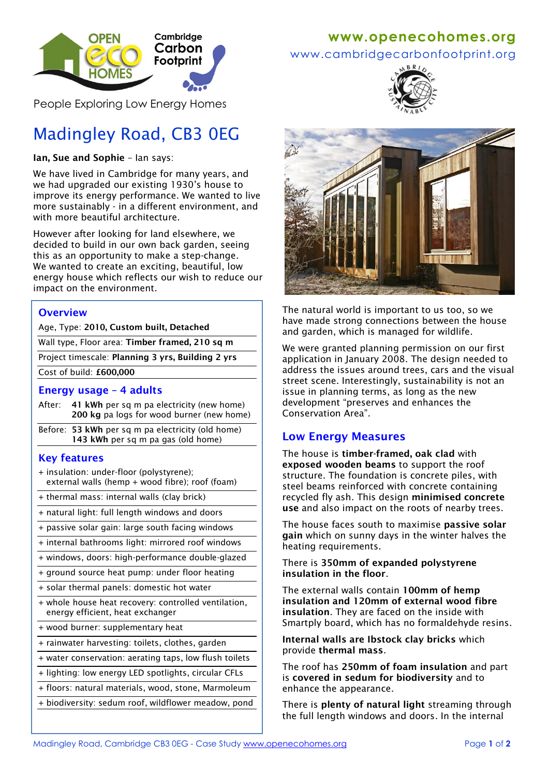

People Exploring Low Energy Homes

# Madingley Road, CB3 0EG

**Ian, Sue and Sophie** – Ian says:

We have lived in Cambridge for many years, and we had upgraded our existing 1930's house to improve its energy performance. We wanted to live more sustainably - in a different environment, and with more beautiful architecture.

However after looking for land elsewhere, we decided to build in our own back garden, seeing this as an opportunity to make a step-change. We wanted to create an exciting, beautiful, low energy house which reflects our wish to reduce our impact on the environment.

### **Overview**

Age, Type: **2010, Custom built, Detached**

Wall type, Floor area: **Timber framed, 210 sq m**

Project timescale: **Planning 3 yrs, Building 2 yrs**

Cost of build: **£600,000**

#### **Energy usage – 4 adults**

- After: **41 kWh** per sq m pa electricity (new home) **200 kg** pa logs for wood burner (new home)
- Before: **53 kWh** per sq m pa electricity (old home)  **143 kWh** per sq m pa gas (old home)

### **Key features**

+ insulation: under-floor (polystyrene); external walls (hemp + wood fibre); roof (foam)

+ thermal mass: internal walls (clay brick)

- + natural light: full length windows and doors
- + passive solar gain: large south facing windows

+ internal bathrooms light: mirrored roof windows

+ windows, doors: high-performance double-glazed

+ ground source heat pump: under floor heating

- + solar thermal panels: domestic hot water
- + whole house heat recovery: controlled ventilation, energy efficient, heat exchanger
- + wood burner: supplementary heat
- + rainwater harvesting: toilets, clothes, garden
- + water conservation: aerating taps, low flush toilets

+ lighting: low energy LED spotlights, circular CFLs

+ floors: natural materials, wood, stone, Marmoleum

+ biodiversity: sedum roof, wildflower meadow, pond

# **www[.openecohomes.org](http://www.openecohomes.org/)**

www.cambridgecarbonfootprint.org





The natural world is important to us too, so we have made strong connections between the house and garden, which is managed for wildlife.

We were granted planning permission on our first application in January 2008. The design needed to address the issues around trees, cars and the visual street scene. Interestingly, sustainability is not an issue in planning terms, as long as the new development "preserves and enhances the Conservation Area".

# **Low Energy Measures**

The house is **timber-framed, oak clad** with **exposed wooden beams** to support the roof structure. The foundation is concrete piles, with steel beams reinforced with concrete containing recycled fly ash. This design **minimised concrete use** and also impact on the roots of nearby trees.

The house faces south to maximise **passive solar gain** which on sunny days in the winter halves the heating requirements.

#### There is **350mm of expanded polystyrene insulation in the floor**.

The external walls contain **100mm of hemp insulation and 120mm of external wood fibre insulation**. They are faced on the inside with Smartply board, which has no formaldehyde resins.

**Internal walls are Ibstock clay bricks** which provide **thermal mass**.

The roof has **250mm of foam insulation** and part is **covered in sedum for biodiversity** and to enhance the appearance.

There is **plenty of natural light** streaming through the full length windows and doors. In the internal